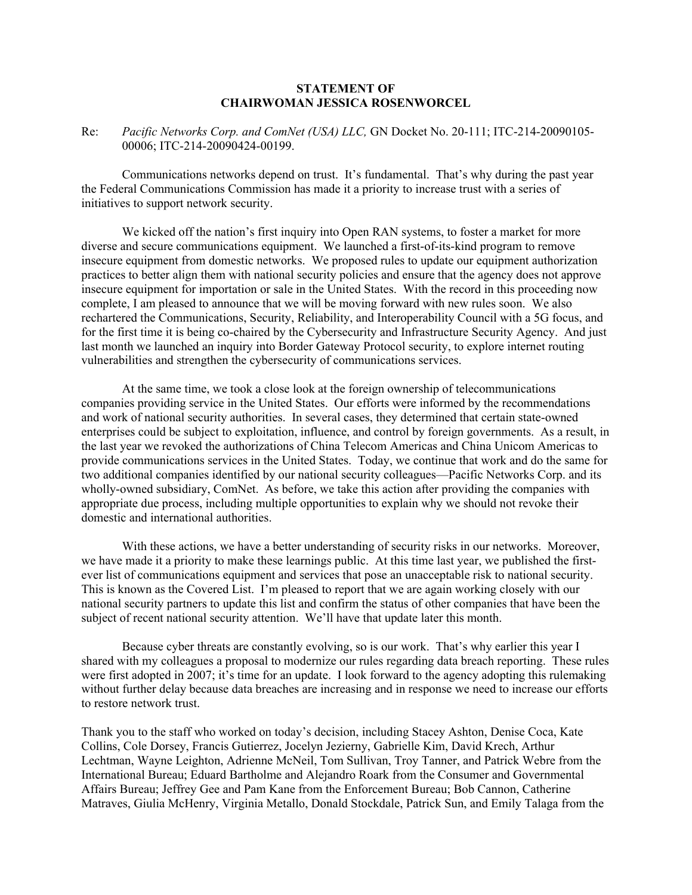## **STATEMENT OF CHAIRWOMAN JESSICA ROSENWORCEL**

Re: *Pacific Networks Corp. and ComNet (USA) LLC,* GN Docket No. 20-111; ITC-214-20090105- 00006; ITC-214-20090424-00199.

Communications networks depend on trust. It's fundamental. That's why during the past year the Federal Communications Commission has made it a priority to increase trust with a series of initiatives to support network security.

We kicked off the nation's first inquiry into Open RAN systems, to foster a market for more diverse and secure communications equipment. We launched a first-of-its-kind program to remove insecure equipment from domestic networks. We proposed rules to update our equipment authorization practices to better align them with national security policies and ensure that the agency does not approve insecure equipment for importation or sale in the United States. With the record in this proceeding now complete, I am pleased to announce that we will be moving forward with new rules soon. We also rechartered the Communications, Security, Reliability, and Interoperability Council with a 5G focus, and for the first time it is being co-chaired by the Cybersecurity and Infrastructure Security Agency. And just last month we launched an inquiry into Border Gateway Protocol security, to explore internet routing vulnerabilities and strengthen the cybersecurity of communications services.

At the same time, we took a close look at the foreign ownership of telecommunications companies providing service in the United States. Our efforts were informed by the recommendations and work of national security authorities. In several cases, they determined that certain state-owned enterprises could be subject to exploitation, influence, and control by foreign governments. As a result, in the last year we revoked the authorizations of China Telecom Americas and China Unicom Americas to provide communications services in the United States. Today, we continue that work and do the same for two additional companies identified by our national security colleagues—Pacific Networks Corp. and its wholly-owned subsidiary, ComNet. As before, we take this action after providing the companies with appropriate due process, including multiple opportunities to explain why we should not revoke their domestic and international authorities.

With these actions, we have a better understanding of security risks in our networks. Moreover, we have made it a priority to make these learnings public. At this time last year, we published the firstever list of communications equipment and services that pose an unacceptable risk to national security. This is known as the Covered List. I'm pleased to report that we are again working closely with our national security partners to update this list and confirm the status of other companies that have been the subject of recent national security attention. We'll have that update later this month.

Because cyber threats are constantly evolving, so is our work. That's why earlier this year I shared with my colleagues a proposal to modernize our rules regarding data breach reporting. These rules were first adopted in 2007; it's time for an update. I look forward to the agency adopting this rulemaking without further delay because data breaches are increasing and in response we need to increase our efforts to restore network trust.

Thank you to the staff who worked on today's decision, including Stacey Ashton, Denise Coca, Kate Collins, Cole Dorsey, Francis Gutierrez, Jocelyn Jezierny, Gabrielle Kim, David Krech, Arthur Lechtman, Wayne Leighton, Adrienne McNeil, Tom Sullivan, Troy Tanner, and Patrick Webre from the International Bureau; Eduard Bartholme and Alejandro Roark from the Consumer and Governmental Affairs Bureau; Jeffrey Gee and Pam Kane from the Enforcement Bureau; Bob Cannon, Catherine Matraves, Giulia McHenry, Virginia Metallo, Donald Stockdale, Patrick Sun, and Emily Talaga from the